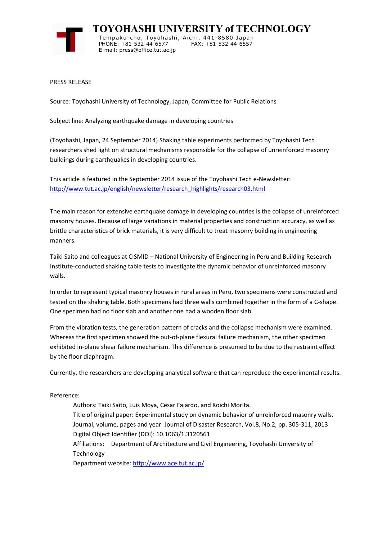

**TOYOHASHI UNIVERSITY of TECHNOLOGY** Tempaku-cho, Toyohashi, Aichi, 441-8580 Japan PHONE: +81-532-44-6577 FAX: +81-532-44-6557 E-mail: press@office.tut.ac.jp

PRESS RELEASE

Source: Toyohashi University of Technology, Japan, Committee for Public Relations

Subject line: Analyzing earthquake damage in developing countries

(Toyohashi, Japan, 24 September 2014) Shaking table experiments performed by Toyohashi Tech researchers shed light on structural mechanisms responsible for the collapse of unreinforced masonry buildings during earthquakes in developing countries.

This article is featured in the September 2014 issue of the Toyohashi Tech e-Newsletter: http://www.tut.ac.jp/english/newsletter/research\_highlights/research03.html

The main reason for extensive earthquake damage in developing countries is the collapse of unreinforced masonry houses. Because of large variations in material properties and construction accuracy, as well as brittle characteristics of brick materials, it is very difficult to treat masonry building in engineering manners.

Taiki Saito and colleagues at CISMID – National University of Engineering in Peru and Building Research Institute-conducted shaking table tests to investigate the dynamic behavior of unreinforced masonry walls.

In order to represent typical masonry houses in rural areas in Peru, two specimens were constructed and tested on the shaking table. Both specimens had three walls combined together in the form of a C-shape. One specimen had no floor slab and another one had a wooden floor slab.

From the vibration tests, the generation pattern of cracks and the collapse mechanism were examined. Whereas the first specimen showed the out-of-plane flexural failure mechanism, the other specimen exhibited in-plane shear failure mechanism. This difference is presumed to be due to the restraint effect by the floor diaphragm.

Currently, the researchers are developing analytical software that can reproduce the experimental results.

## Reference:

Authors: Taiki Saito, Luis Moya, Cesar Fajardo, and Koichi Morita. Title of original paper: Experimental study on dynamic behavior of unreinforced masonry walls. Journal, volume, pages and year: Journal of Disaster Research, Vol.8, No.2, pp. 305-311, 2013 Digital Object Identifier (DOI): 10.1063/1.3120561 Affiliations: Department of Architecture and Civil Engineering, Toyohashi University of Technology

Department website: http://www.ace.tut.ac.jp/